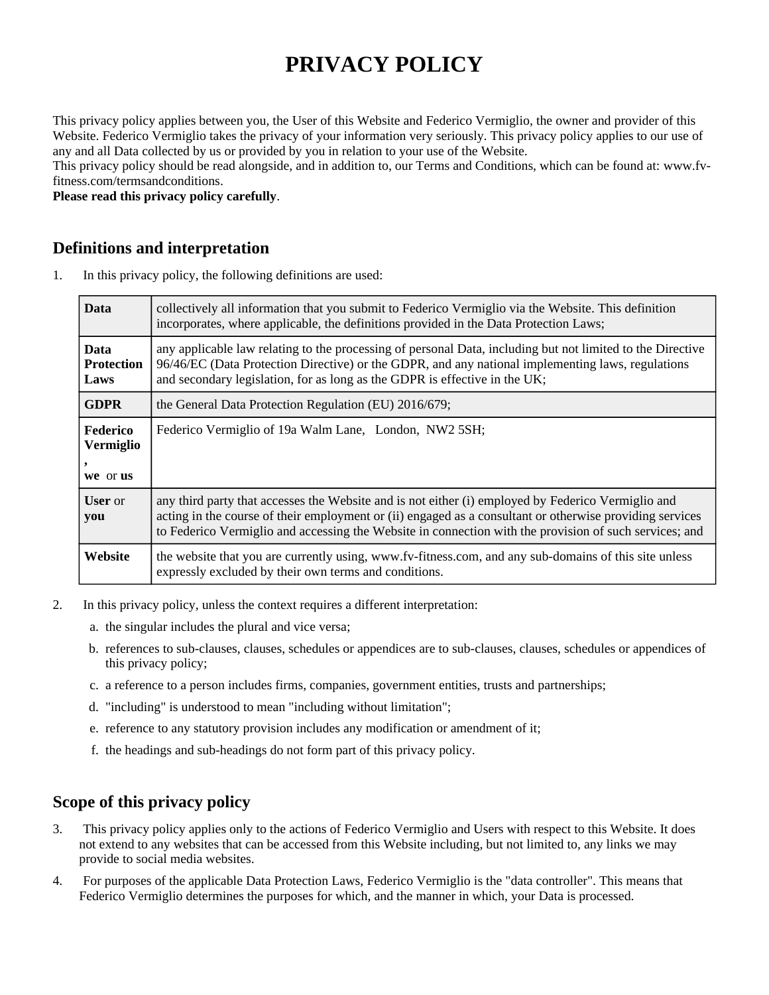# **PRIVACY POLICY**

This privacy policy applies between you, the User of this Website and Federico Vermiglio, the owner and provider of this Website. Federico Vermiglio takes the privacy of your information very seriously. This privacy policy applies to our use of any and all Data collected by us or provided by you in relation to your use of the Website.

This privacy policy should be read alongside, and in addition to, our Terms and Conditions, which can be found at: www.fvfitness.com/termsandconditions.

**Please read this privacy policy carefully**.

#### **Definitions and interpretation**

1. In this privacy policy, the following definitions are used:

| <b>Data</b>                       | collectively all information that you submit to Federico Vermiglio via the Website. This definition<br>incorporates, where applicable, the definitions provided in the Data Protection Laws;                                                                                                                             |
|-----------------------------------|--------------------------------------------------------------------------------------------------------------------------------------------------------------------------------------------------------------------------------------------------------------------------------------------------------------------------|
| <b>Data</b><br>Protection<br>Laws | any applicable law relating to the processing of personal Data, including but not limited to the Directive<br>96/46/EC (Data Protection Directive) or the GDPR, and any national implementing laws, regulations<br>and secondary legislation, for as long as the GDPR is effective in the UK;                            |
| <b>GDPR</b>                       | the General Data Protection Regulation (EU) 2016/679;                                                                                                                                                                                                                                                                    |
| Federico<br>Vermiglio<br>we or us | Federico Vermiglio of 19a Walm Lane, London, NW2 5SH;                                                                                                                                                                                                                                                                    |
| <b>User</b> or<br>you             | any third party that accesses the Website and is not either (i) employed by Federico Vermiglio and<br>acting in the course of their employment or (ii) engaged as a consultant or otherwise providing services<br>to Federico Vermiglio and accessing the Website in connection with the provision of such services; and |
| Website                           | the website that you are currently using, www.fv-fitness.com, and any sub-domains of this site unless<br>expressly excluded by their own terms and conditions.                                                                                                                                                           |

- 2. In this privacy policy, unless the context requires a different interpretation:
	- a. the singular includes the plural and vice versa;
	- b. references to sub-clauses, clauses, schedules or appendices are to sub-clauses, clauses, schedules or appendices of this privacy policy;
	- c. a reference to a person includes firms, companies, government entities, trusts and partnerships;
	- d. "including" is understood to mean "including without limitation";
	- e. reference to any statutory provision includes any modification or amendment of it;
	- f. the headings and sub-headings do not form part of this privacy policy.

#### **Scope of this privacy policy**

- 3. This privacy policy applies only to the actions of Federico Vermiglio and Users with respect to this Website. It does not extend to any websites that can be accessed from this Website including, but not limited to, any links we may provide to social media websites.
- 4. For purposes of the applicable Data Protection Laws, Federico Vermiglio is the "data controller". This means that Federico Vermiglio determines the purposes for which, and the manner in which, your Data is processed.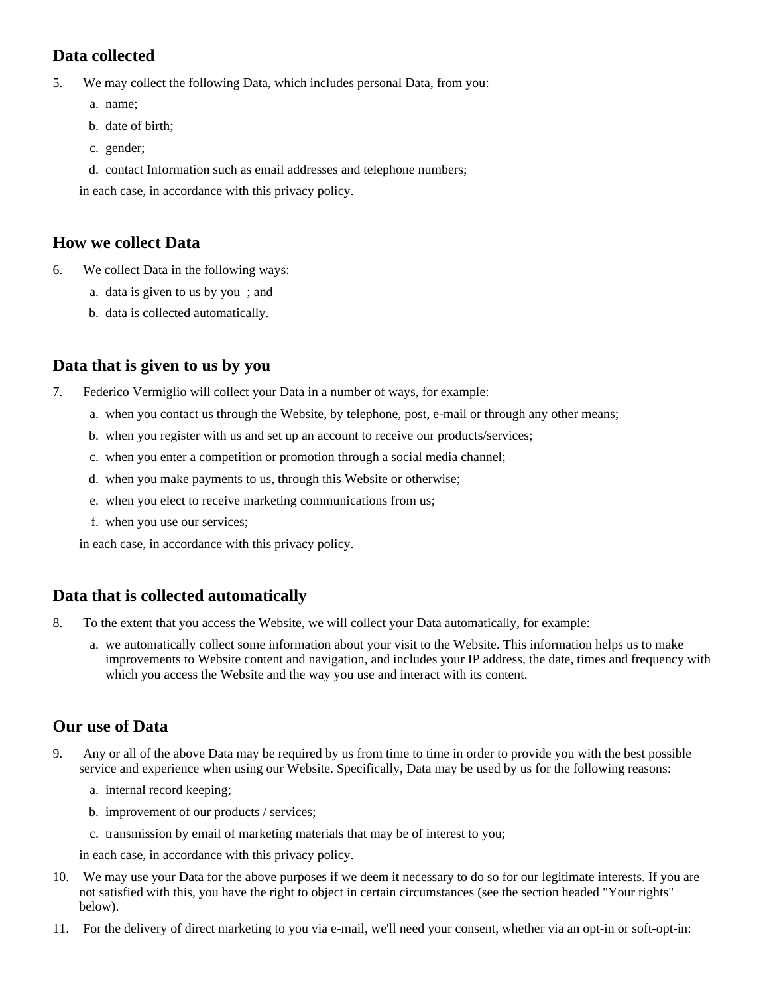## **Data collected**

5. We may collect the following Data, which includes personal Data, from you:

- a. name;
- b. date of birth;
- c. gender;
- d. contact Information such as email addresses and telephone numbers;

in each case, in accordance with this privacy policy.

#### **How we collect Data**

- 6. We collect Data in the following ways:
	- a. data is given to us by you ; and
	- b. data is collected automatically.

## **Data that is given to us by you**

- 7. Federico Vermiglio will collect your Data in a number of ways, for example:
	- a. when you contact us through the Website, by telephone, post, e-mail or through any other means;
	- b. when you register with us and set up an account to receive our products/services;
	- c. when you enter a competition or promotion through a social media channel;
	- d. when you make payments to us, through this Website or otherwise;
	- e. when you elect to receive marketing communications from us;
	- f. when you use our services;

in each case, in accordance with this privacy policy.

## **Data that is collected automatically**

- 8. To the extent that you access the Website, we will collect your Data automatically, for example:
	- a. we automatically collect some information about your visit to the Website. This information helps us to make improvements to Website content and navigation, and includes your IP address, the date, times and frequency with which you access the Website and the way you use and interact with its content.

## **Our use of Data**

- 9. Any or all of the above Data may be required by us from time to time in order to provide you with the best possible service and experience when using our Website. Specifically, Data may be used by us for the following reasons:
	- a. internal record keeping;
	- b. improvement of our products / services;
	- c. transmission by email of marketing materials that may be of interest to you;

in each case, in accordance with this privacy policy.

- 10. We may use your Data for the above purposes if we deem it necessary to do so for our legitimate interests. If you are not satisfied with this, you have the right to object in certain circumstances (see the section headed "Your rights" below).
- 11. For the delivery of direct marketing to you via e-mail, we'll need your consent, whether via an opt-in or soft-opt-in: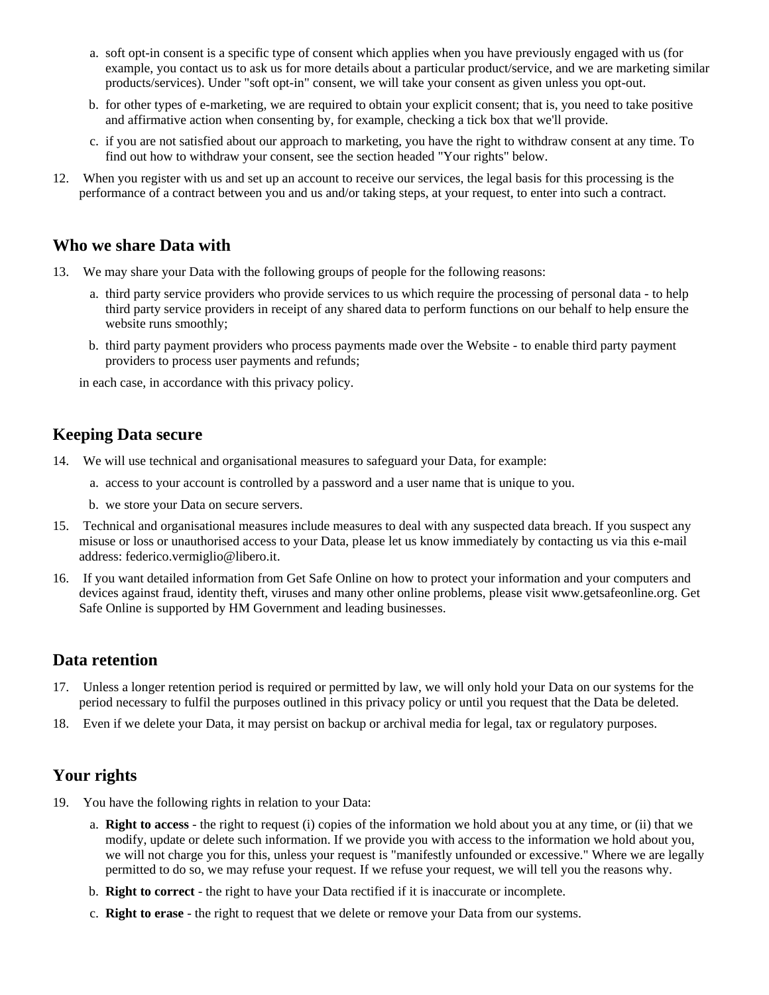- a. soft opt-in consent is a specific type of consent which applies when you have previously engaged with us (for example, you contact us to ask us for more details about a particular product/service, and we are marketing similar products/services). Under "soft opt-in" consent, we will take your consent as given unless you opt-out.
- b. for other types of e-marketing, we are required to obtain your explicit consent; that is, you need to take positive and affirmative action when consenting by, for example, checking a tick box that we'll provide.
- c. if you are not satisfied about our approach to marketing, you have the right to withdraw consent at any time. To find out how to withdraw your consent, see the section headed "Your rights" below.
- 12. When you register with us and set up an account to receive our services, the legal basis for this processing is the performance of a contract between you and us and/or taking steps, at your request, to enter into such a contract.

#### **Who we share Data with**

- 13. We may share your Data with the following groups of people for the following reasons:
	- a. third party service providers who provide services to us which require the processing of personal data to help third party service providers in receipt of any shared data to perform functions on our behalf to help ensure the website runs smoothly;
	- b. third party payment providers who process payments made over the Website to enable third party payment providers to process user payments and refunds;

in each case, in accordance with this privacy policy.

#### **Keeping Data secure**

- 14. We will use technical and organisational measures to safeguard your Data, for example:
	- a. access to your account is controlled by a password and a user name that is unique to you.
	- b. we store your Data on secure servers.
- 15. Technical and organisational measures include measures to deal with any suspected data breach. If you suspect any misuse or loss or unauthorised access to your Data, please let us know immediately by contacting us via this e-mail address: federico.vermiglio@libero.it.
- 16. If you want detailed information from Get Safe Online on how to protect your information and your computers and devices against fraud, identity theft, viruses and many other online problems, please visit www.getsafeonline.org. Get Safe Online is supported by HM Government and leading businesses.

#### **Data retention**

- 17. Unless a longer retention period is required or permitted by law, we will only hold your Data on our systems for the period necessary to fulfil the purposes outlined in this privacy policy or until you request that the Data be deleted.
- 18. Even if we delete your Data, it may persist on backup or archival media for legal, tax or regulatory purposes.

#### **Your rights**

- 19. You have the following rights in relation to your Data:
	- a. **Right to access** the right to request (i) copies of the information we hold about you at any time, or (ii) that we modify, update or delete such information. If we provide you with access to the information we hold about you, we will not charge you for this, unless your request is "manifestly unfounded or excessive." Where we are legally permitted to do so, we may refuse your request. If we refuse your request, we will tell you the reasons why.
	- b. **Right to correct** the right to have your Data rectified if it is inaccurate or incomplete.
	- c. **Right to erase** the right to request that we delete or remove your Data from our systems.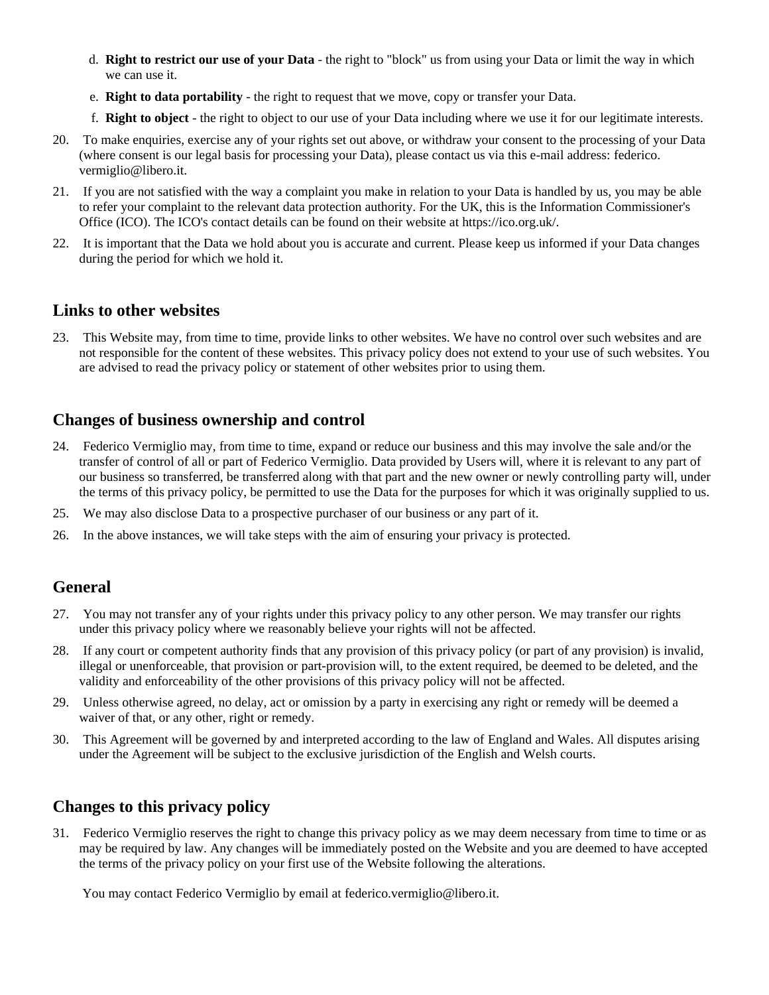- d. **Right to restrict our use of your Data** the right to "block" us from using your Data or limit the way in which we can use it.
- e. **Right to data portability** the right to request that we move, copy or transfer your Data.
- f. **Right to object** the right to object to our use of your Data including where we use it for our legitimate interests.
- 20. To make enquiries, exercise any of your rights set out above, or withdraw your consent to the processing of your Data (where consent is our legal basis for processing your Data), please contact us via this e-mail address: federico. vermiglio@libero.it.
- 21. If you are not satisfied with the way a complaint you make in relation to your Data is handled by us, you may be able to refer your complaint to the relevant data protection authority. For the UK, this is the Information Commissioner's Office (ICO). The ICO's contact details can be found on their website at https://ico.org.uk/.
- 22. It is important that the Data we hold about you is accurate and current. Please keep us informed if your Data changes during the period for which we hold it.

#### **Links to other websites**

23. This Website may, from time to time, provide links to other websites. We have no control over such websites and are not responsible for the content of these websites. This privacy policy does not extend to your use of such websites. You are advised to read the privacy policy or statement of other websites prior to using them.

#### **Changes of business ownership and control**

- 24. Federico Vermiglio may, from time to time, expand or reduce our business and this may involve the sale and/or the transfer of control of all or part of Federico Vermiglio. Data provided by Users will, where it is relevant to any part of our business so transferred, be transferred along with that part and the new owner or newly controlling party will, under the terms of this privacy policy, be permitted to use the Data for the purposes for which it was originally supplied to us.
- 25. We may also disclose Data to a prospective purchaser of our business or any part of it.
- 26. In the above instances, we will take steps with the aim of ensuring your privacy is protected.

#### **General**

- 27. You may not transfer any of your rights under this privacy policy to any other person. We may transfer our rights under this privacy policy where we reasonably believe your rights will not be affected.
- 28. If any court or competent authority finds that any provision of this privacy policy (or part of any provision) is invalid, illegal or unenforceable, that provision or part-provision will, to the extent required, be deemed to be deleted, and the validity and enforceability of the other provisions of this privacy policy will not be affected.
- 29. Unless otherwise agreed, no delay, act or omission by a party in exercising any right or remedy will be deemed a waiver of that, or any other, right or remedy.
- 30. This Agreement will be governed by and interpreted according to the law of England and Wales. All disputes arising under the Agreement will be subject to the exclusive jurisdiction of the English and Welsh courts.

## **Changes to this privacy policy**

31. Federico Vermiglio reserves the right to change this privacy policy as we may deem necessary from time to time or as may be required by law. Any changes will be immediately posted on the Website and you are deemed to have accepted the terms of the privacy policy on your first use of the Website following the alterations.

You may contact Federico Vermiglio by email at federico.vermiglio@libero.it.